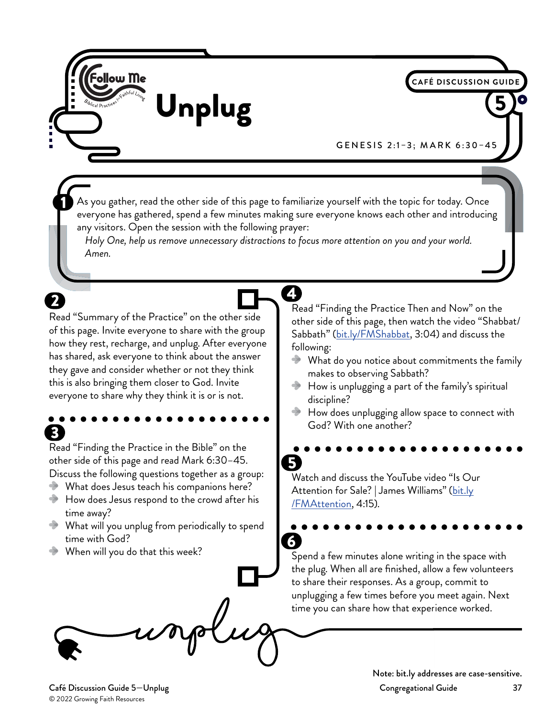

GENESIS 2:1–3; MARK 6:30–45

**CAFÉ DISCUSSION GUID** 

As you gather, read the other side of this page to familiarize yourself with the topic for today. Once everyone has gathered, spend a few minutes making sure everyone knows each other and introducing any visitors. Open the session with the following prayer:

4

*Holy One, help us remove unnecessary distractions to focus more attention on you and your world. Amen.*

Read "Summary of the Practice" on the other side of this page. Invite everyone to share with the group how they rest, recharge, and unplug. After everyone has shared, ask everyone to think about the answer they gave and consider whether or not they think this is also bringing them closer to God. Invite everyone to share why they think it is or is not.

## 3

Read "Finding the Practice in the Bible" on the other side of this page and read Mark 6:30–45. Discuss the following questions together as a group:

- What does Jesus teach his companions here?
- $\rightarrow$  How does Jesus respond to the crowd after his time away?
- What will you unplug from periodically to spend time with God?
- When will you do that this week?

Read "Finding the Practice Then and Now" on the other side of this page, then watch the video "Shabbat/ Sabbath" [\(bit.ly/FMShabbat](http://bit.ly/FMShabbat), 3:04) and discuss the following:

- What do you notice about commitments the family makes to observing Sabbath?
- How is unplugging a part of the family's spiritual discipline?
- How does unplugging allow space to connect with God? With one another?

**S** Watch and discuss the YouTube video "Is Our Attention for Sale? | James Williams" [\(bit.ly](http://bit.ly/FMAttention) [/FMAttention,](http://bit.ly/FMAttention) 4:15).

6 Spend a few minutes alone writing in the space with the plug. When all are finished, allow a few volunteers to share their responses. As a group, commit to unplugging a few times before you meet again. Next time you can share how that experience worked.

© 2022 Growing Faith Resources